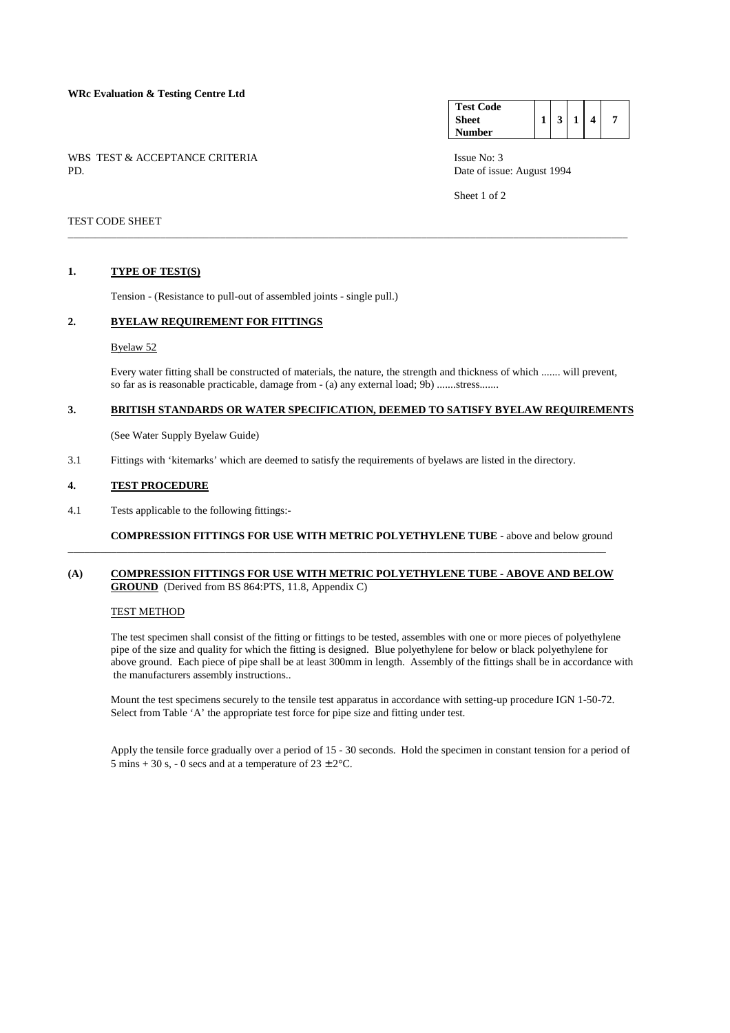### **WRc Evaluation & Testing Centre Ltd**

WBS TEST & ACCEPTANCE CRITERIA ISSUE No: 3<br>PD Date of issue

#### **Test Code Sheet Number**   $1 \mid 3 \mid 1 \mid 4 \mid 7$

Date of issue: August 1994

Sheet 1 of 2

## TEST CODE SHEET

### **1. TYPE OF TEST(S)**

Tension - (Resistance to pull-out of assembled joints - single pull.)

# **2. BYELAW REQUIREMENT FOR FITTINGS**

#### Byelaw 52

 Every water fitting shall be constructed of materials, the nature, the strength and thickness of which ....... will prevent, so far as is reasonable practicable, damage from - (a) any external load; 9b) .......stress.......

## **3. BRITISH STANDARDS OR WATER SPECIFICATION, DEEMED TO SATISFY BYELAW REQUIREMENTS**

\_\_\_\_\_\_\_\_\_\_\_\_\_\_\_\_\_\_\_\_\_\_\_\_\_\_\_\_\_\_\_\_\_\_\_\_\_\_\_\_\_\_\_\_\_\_\_\_\_\_\_\_\_\_\_\_\_\_\_\_\_\_\_\_\_\_\_\_\_\_\_\_\_\_\_\_\_\_\_\_\_\_\_\_\_\_\_\_\_\_\_\_\_\_\_\_\_\_\_\_\_\_\_

(See Water Supply Byelaw Guide)

3.1 Fittings with 'kitemarks' which are deemed to satisfy the requirements of byelaws are listed in the directory.

### **4. TEST PROCEDURE**

4.1 Tests applicable to the following fittings:-

 **COMPRESSION FITTINGS FOR USE WITH METRIC POLYETHYLENE TUBE -** above and below ground

### **(A) COMPRESSION FITTINGS FOR USE WITH METRIC POLYETHYLENE TUBE - ABOVE AND BELOW GROUND** (Derived from BS 864:PTS, 11.8, Appendix C)

\_\_\_\_\_\_\_\_\_\_\_\_\_\_\_\_\_\_\_\_\_\_\_\_\_\_\_\_\_\_\_\_\_\_\_\_\_\_\_\_\_\_\_\_\_\_\_\_\_\_\_\_\_\_\_\_\_\_\_\_\_\_\_\_\_\_\_\_\_\_\_\_\_\_\_\_\_\_\_\_\_\_\_\_\_\_\_\_\_\_\_\_\_\_\_\_\_\_\_

#### TEST METHOD

 The test specimen shall consist of the fitting or fittings to be tested, assembles with one or more pieces of polyethylene pipe of the size and quality for which the fitting is designed. Blue polyethylene for below or black polyethylene for above ground. Each piece of pipe shall be at least 300mm in length. Assembly of the fittings shall be in accordance with the manufacturers assembly instructions..

 Mount the test specimens securely to the tensile test apparatus in accordance with setting-up procedure IGN 1-50-72. Select from Table 'A' the appropriate test force for pipe size and fitting under test.

 Apply the tensile force gradually over a period of 15 - 30 seconds. Hold the specimen in constant tension for a period of 5 mins + 30 s, - 0 secs and at a temperature of  $23 \pm 2^{\circ}$ C.